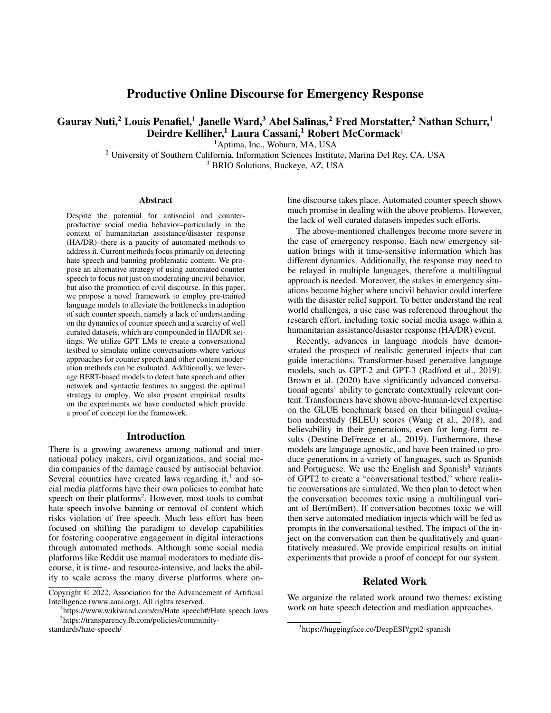# Productive Online Discourse for Emergency Response

Gaurav Nuti,<sup>2</sup> Louis Penafiel,<sup>1</sup> Janelle Ward,<sup>3</sup> Abel Salinas,<sup>2</sup> Fred Morstatter,<sup>2</sup> Nathan Schurr,<sup>1</sup> Deirdre Kelliher,<sup>1</sup> Laura Cassani,<sup>1</sup> Robert McCormack<sup>1</sup>

<sup>1</sup>Aptima, Inc., Woburn, MA, USA

<sup>2</sup> University of Southern California, Information Sciences Institute, Marina Del Rey, CA, USA

<sup>3</sup> BRIO Solutions, Buckeye, AZ, USA

#### Abstract

Despite the potential for antisocial and counterproductive social media behavior–particularly in the context of humanitarian assistance/disaster response (HA/DR)–there is a paucity of automated methods to address it. Current methods focus primarily on detecting hate speech and banning problematic content. We propose an alternative strategy of using automated counter speech to focus not just on moderating uncivil behavior, but also the promotion of civil discourse. In this paper, we propose a novel framework to employ pre-trained language models to alleviate the bottlenecks in adoption of such counter speech, namely a lack of understanding on the dynamics of counter speech and a scarcity of well curated datasets, which are compounded in HA/DR settings. We utilize GPT LMs to create a conversational testbed to simulate online conversations where various approaches for counter speech and other content moderation methods can be evaluated. Additionally, we leverage BERT-based models to detect hate speech and other network and syntactic features to suggest the optimal strategy to employ. We also present empirical results on the experiments we have conducted which provide a proof of concept for the framework.

### Introduction

There is a growing awareness among national and international policy makers, civil organizations, and social media companies of the damage caused by antisocial behavior. Several countries have created laws regarding it,<sup>1</sup> and social media platforms have their own policies to combat hate speech on their platforms<sup>2</sup>. However, most tools to combat hate speech involve banning or removal of content which risks violation of free speech. Much less effort has been focused on shifting the paradigm to develop capabilities for fostering cooperative engagement in digital interactions through automated methods. Although some social media platforms like Reddit use manual moderators to mediate discourse, it is time- and resource-intensive, and lacks the ability to scale across the many diverse platforms where on-

standards/hate-speech/

line discourse takes place. Automated counter speech shows much promise in dealing with the above problems. However, the lack of well curated datasets impedes such efforts.

The above-mentioned challenges become more severe in the case of emergency response. Each new emergency situation brings with it time-sensitive information which has different dynamics. Additionally, the response may need to be relayed in multiple languages, therefore a multilingual approach is needed. Moreover, the stakes in emergency situations become higher where uncivil behavior could interfere with the disaster relief support. To better understand the real world challenges, a use case was referenced throughout the research effort, including toxic social media usage within a humanitarian assistance/disaster response (HA/DR) event.

Recently, advances in language models have demonstrated the prospect of realistic generated injects that can guide interactions. Transformer-based generative language models, such as GPT-2 and GPT-3 (Radford et al., 2019). Brown et al. (2020) have significantly advanced conversational agents' ability to generate contextually relevant content. Transformers have shown above-human-level expertise on the GLUE benchmark based on their bilingual evaluation understudy (BLEU) scores (Wang et al., 2018), and believability in their generations, even for long-form results (Destine-DeFreece et al., 2019). Furthermore, these models are language agnostic, and have been trained to produce generations in a variety of languages, such as Spanish and Portuguese. We use the English and Spanish $3$  variants of GPT2 to create a "conversational testbed," where realistic conversations are simulated. We then plan to detect when the conversation becomes toxic using a multilingual variant of Bert(mBert). If conversation becomes toxic we will then serve automated mediation injects which will be fed as prompts in the conversational testbed. The impact of the inject on the conversation can then be qualitatively and quantitatively measured. We provide empirical results on initial experiments that provide a proof of concept for our system.

### Related Work

We organize the related work around two themes: existing work on hate speech detection and mediation approaches.

Copyright © 2022, Association for the Advancement of Artificial Intelligence (www.aaai.org). All rights reserved.

<sup>&</sup>lt;sup>1</sup>https://www.wikiwand.com/en/Hate\_speech#/Hate\_speech\_laws 2 https://transparency.fb.com/policies/community-

<sup>3</sup> https://huggingface.co/DeepESP/gpt2-spanish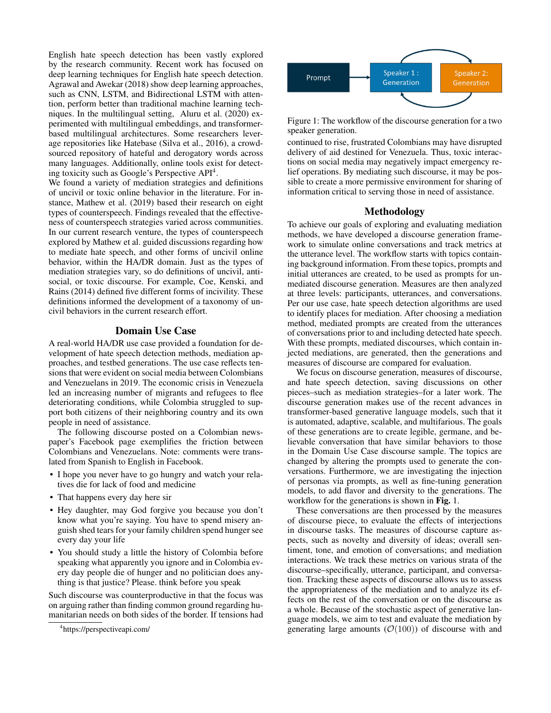English hate speech detection has been vastly explored by the research community. Recent work has focused on deep learning techniques for English hate speech detection. Agrawal and Awekar (2018) show deep learning approaches, such as CNN, LSTM, and Bidirectional LSTM with attention, perform better than traditional machine learning techniques. In the multilingual setting, Aluru et al. (2020) experimented with multilingual embeddings, and transformerbased multilingual architectures. Some researchers leverage repositories like Hatebase (Silva et al., 2016), a crowdsourced repository of hateful and derogatory words across many languages. Additionally, online tools exist for detecting toxicity such as Google's Perspective API<sup>4</sup> .

We found a variety of mediation strategies and definitions of uncivil or toxic online behavior in the literature. For instance, Mathew et al. (2019) based their research on eight types of counterspeech. Findings revealed that the effectiveness of counterspeech strategies varied across communities. In our current research venture, the types of counterspeech explored by Mathew et al. guided discussions regarding how to mediate hate speech, and other forms of uncivil online behavior, within the HA/DR domain. Just as the types of mediation strategies vary, so do definitions of uncivil, antisocial, or toxic discourse. For example, Coe, Kenski, and Rains (2014) defined five different forms of incivility. These definitions informed the development of a taxonomy of uncivil behaviors in the current research effort.

### Domain Use Case

A real-world HA/DR use case provided a foundation for development of hate speech detection methods, mediation approaches, and testbed generations. The use case reflects tensions that were evident on social media between Colombians and Venezuelans in 2019. The economic crisis in Venezuela led an increasing number of migrants and refugees to flee deteriorating conditions, while Colombia struggled to support both citizens of their neighboring country and its own people in need of assistance.

The following discourse posted on a Colombian newspaper's Facebook page exemplifies the friction between Colombians and Venezuelans. Note: comments were translated from Spanish to English in Facebook.

- I hope you never have to go hungry and watch your relatives die for lack of food and medicine
- That happens every day here sir
- Hey daughter, may God forgive you because you don't know what you're saying. You have to spend misery anguish shed tears for your family children spend hunger see every day your life
- You should study a little the history of Colombia before speaking what apparently you ignore and in Colombia every day people die of hunger and no politician does anything is that justice? Please. think before you speak

Such discourse was counterproductive in that the focus was on arguing rather than finding common ground regarding humanitarian needs on both sides of the border. If tensions had



Figure 1: The workflow of the discourse generation for a two speaker generation.

continued to rise, frustrated Colombians may have disrupted delivery of aid destined for Venezuela. Thus, toxic interactions on social media may negatively impact emergency relief operations. By mediating such discourse, it may be possible to create a more permissive environment for sharing of information critical to serving those in need of assistance.

#### Methodology

To achieve our goals of exploring and evaluating mediation methods, we have developed a discourse generation framework to simulate online conversations and track metrics at the utterance level. The workflow starts with topics containing background information. From these topics, prompts and initial utterances are created, to be used as prompts for unmediated discourse generation. Measures are then analyzed at three levels: participants, utterances, and conversations. Per our use case, hate speech detection algorithms are used to identify places for mediation. After choosing a mediation method, mediated prompts are created from the utterances of conversations prior to and including detected hate speech. With these prompts, mediated discourses, which contain injected mediations, are generated, then the generations and measures of discourse are compared for evaluation.

We focus on discourse generation, measures of discourse, and hate speech detection, saving discussions on other pieces–such as mediation strategies–for a later work. The discourse generation makes use of the recent advances in transformer-based generative language models, such that it is automated, adaptive, scalable, and multifarious. The goals of these generations are to create legible, germane, and believable conversation that have similar behaviors to those in the Domain Use Case discourse sample. The topics are changed by altering the prompts used to generate the conversations. Furthermore, we are investigating the injection of personas via prompts, as well as fine-tuning generation models, to add flavor and diversity to the generations. The workflow for the generations is shown in Fig. 1.

These conversations are then processed by the measures of discourse piece, to evaluate the effects of interjections in discourse tasks. The measures of discourse capture aspects, such as novelty and diversity of ideas; overall sentiment, tone, and emotion of conversations; and mediation interactions. We track these metrics on various strata of the discourse–specifically, utterance, participant, and conversation. Tracking these aspects of discourse allows us to assess the appropriateness of the mediation and to analyze its effects on the rest of the conversation or on the discourse as a whole. Because of the stochastic aspect of generative language models, we aim to test and evaluate the mediation by generating large amounts  $(\mathcal{O}(100))$  of discourse with and

<sup>4</sup> https://perspectiveapi.com/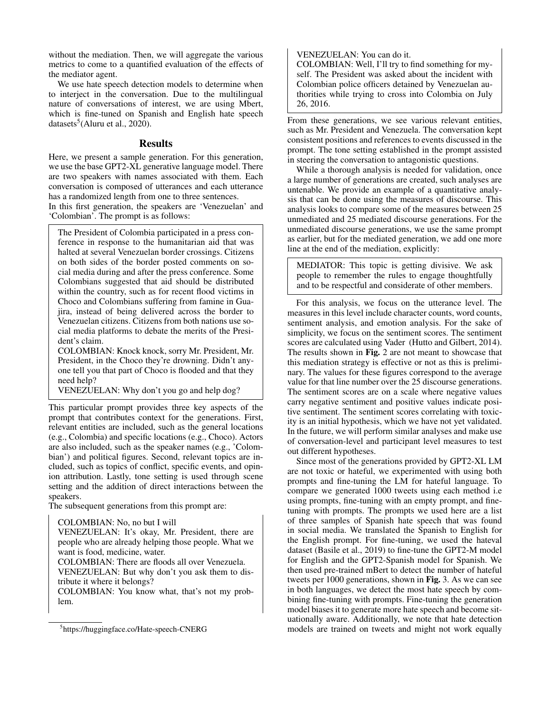without the mediation. Then, we will aggregate the various metrics to come to a quantified evaluation of the effects of the mediator agent.

We use hate speech detection models to determine when to interject in the conversation. Due to the multilingual nature of conversations of interest, we are using Mbert, which is fine-tuned on Spanish and English hate speech datasets<sup>5</sup>(Aluru et al., 2020).

### Results

Here, we present a sample generation. For this generation, we use the base GPT2-XL generative language model. There are two speakers with names associated with them. Each conversation is composed of utterances and each utterance has a randomized length from one to three sentences.

In this first generation, the speakers are 'Venezuelan' and 'Colombian'. The prompt is as follows:

The President of Colombia participated in a press conference in response to the humanitarian aid that was halted at several Venezuelan border crossings. Citizens on both sides of the border posted comments on social media during and after the press conference. Some Colombians suggested that aid should be distributed within the country, such as for recent flood victims in Choco and Colombians suffering from famine in Guajira, instead of being delivered across the border to Venezuelan citizens. Citizens from both nations use social media platforms to debate the merits of the President's claim.

COLOMBIAN: Knock knock, sorry Mr. President, Mr. President, in the Choco they're drowning. Didn't anyone tell you that part of Choco is flooded and that they need help?

VENEZUELAN: Why don't you go and help dog?

This particular prompt provides three key aspects of the prompt that contributes context for the generations. First, relevant entities are included, such as the general locations (e.g., Colombia) and specific locations (e.g., Choco). Actors are also included, such as the speaker names (e.g., 'Colombian') and political figures. Second, relevant topics are included, such as topics of conflict, specific events, and opinion attribution. Lastly, tone setting is used through scene setting and the addition of direct interactions between the speakers.

The subsequent generations from this prompt are:

```
COLOMBIAN: No, no but I will
```
VENEZUELAN: It's okay, Mr. President, there are people who are already helping those people. What we want is food, medicine, water.

COLOMBIAN: There are floods all over Venezuela. VENEZUELAN: But why don't you ask them to distribute it where it belongs?

COLOMBIAN: You know what, that's not my problem.

VENEZUELAN: You can do it.

COLOMBIAN: Well, I'll try to find something for myself. The President was asked about the incident with Colombian police officers detained by Venezuelan authorities while trying to cross into Colombia on July 26, 2016.

From these generations, we see various relevant entities, such as Mr. President and Venezuela. The conversation kept consistent positions and references to events discussed in the prompt. The tone setting established in the prompt assisted in steering the conversation to antagonistic questions.

While a thorough analysis is needed for validation, once a large number of generations are created, such analyses are untenable. We provide an example of a quantitative analysis that can be done using the measures of discourse. This analysis looks to compare some of the measures between 25 unmediated and 25 mediated discourse generations. For the unmediated discourse generations, we use the same prompt as earlier, but for the mediated generation, we add one more line at the end of the mediation, explicitly:

MEDIATOR: This topic is getting divisive. We ask people to remember the rules to engage thoughtfully and to be respectful and considerate of other members.

For this analysis, we focus on the utterance level. The measures in this level include character counts, word counts, sentiment analysis, and emotion analysis. For the sake of simplicity, we focus on the sentiment scores. The sentiment scores are calculated using Vader (Hutto and Gilbert, 2014). The results shown in Fig. 2 are not meant to showcase that this mediation strategy is effective or not as this is preliminary. The values for these figures correspond to the average value for that line number over the 25 discourse generations. The sentiment scores are on a scale where negative values carry negative sentiment and positive values indicate positive sentiment. The sentiment scores correlating with toxicity is an initial hypothesis, which we have not yet validated. In the future, we will perform similar analyses and make use of conversation-level and participant level measures to test out different hypotheses.

Since most of the generations provided by GPT2-XL LM are not toxic or hateful, we experimented with using both prompts and fine-tuning the LM for hateful language. To compare we generated 1000 tweets using each method i.e using prompts, fine-tuning with an empty prompt, and finetuning with prompts. The prompts we used here are a list of three samples of Spanish hate speech that was found in social media. We translated the Spanish to English for the English prompt. For fine-tuning, we used the hateval dataset (Basile et al., 2019) to fine-tune the GPT2-M model for English and the GPT2-Spanish model for Spanish. We then used pre-trained mBert to detect the number of hateful tweets per 1000 generations, shown in Fig. 3. As we can see in both languages, we detect the most hate speech by combining fine-tuning with prompts. Fine-tuning the generation model biases it to generate more hate speech and become situationally aware. Additionally, we note that hate detection models are trained on tweets and might not work equally

<sup>5</sup> https://huggingface.co/Hate-speech-CNERG